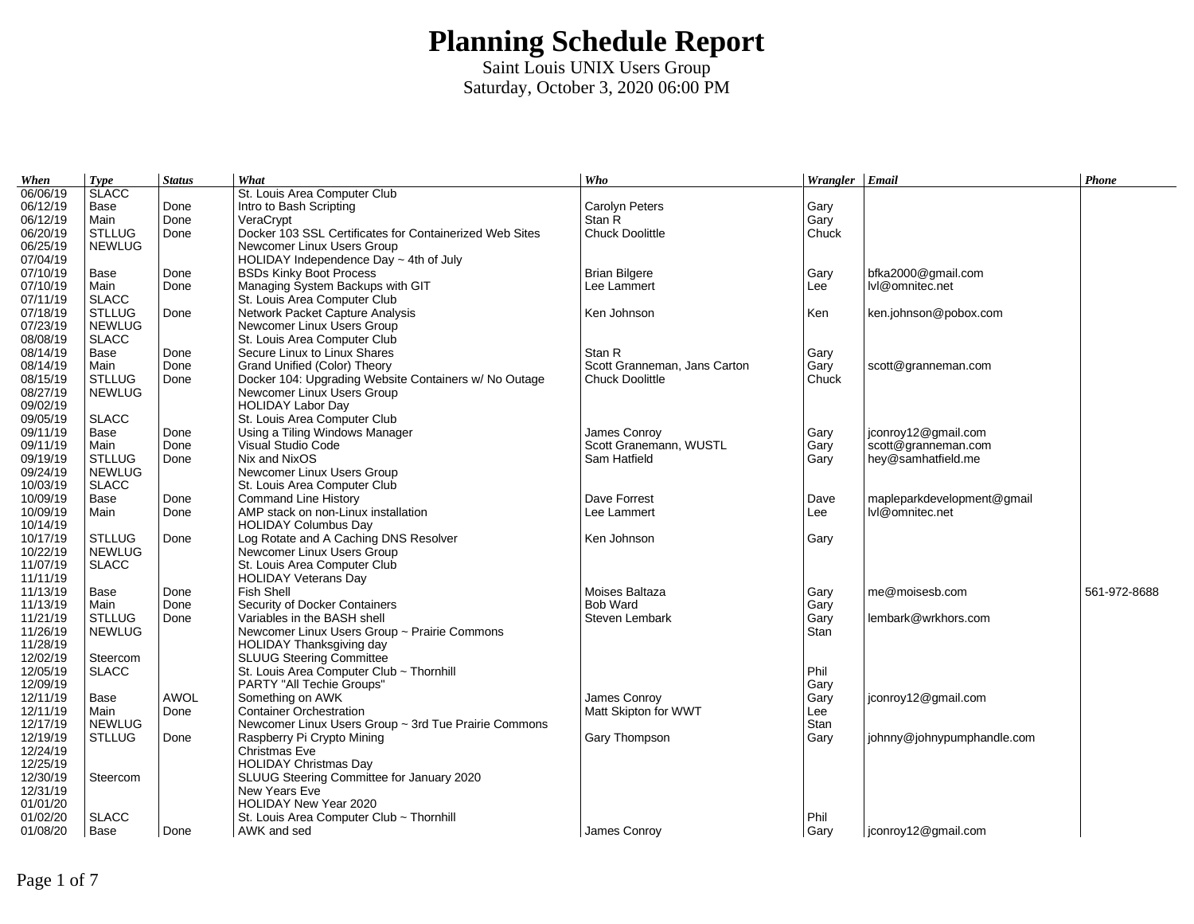| When     | <b>Type</b>   | <b>Status</b> | What                                                    | Who                          | Wrangler $ $ Email |                            | Phone        |
|----------|---------------|---------------|---------------------------------------------------------|------------------------------|--------------------|----------------------------|--------------|
| 06/06/19 | <b>SLACC</b>  |               | St. Louis Area Computer Club                            |                              |                    |                            |              |
| 06/12/19 | Base          | Done          | Intro to Bash Scripting                                 | <b>Carolyn Peters</b>        | Gary               |                            |              |
| 06/12/19 | Main          | Done          | VeraCrypt                                               | Stan R                       | Gary               |                            |              |
| 06/20/19 | <b>STLLUG</b> | Done          | Docker 103 SSL Certificates for Containerized Web Sites | <b>Chuck Doolittle</b>       | Chuck              |                            |              |
| 06/25/19 | <b>NEWLUG</b> |               | Newcomer Linux Users Group                              |                              |                    |                            |              |
| 07/04/19 |               |               | HOLIDAY Independence Day $\sim$ 4th of July             |                              |                    |                            |              |
| 07/10/19 | Base          | Done          | <b>BSDs Kinky Boot Process</b>                          | <b>Brian Bilgere</b>         | Gary               | bfka2000@gmail.com         |              |
| 07/10/19 | Main          | Done          | Managing System Backups with GIT                        | Lee Lammert                  | Lee                | lvl@omnitec.net            |              |
| 07/11/19 | <b>SLACC</b>  |               | St. Louis Area Computer Club                            |                              |                    |                            |              |
| 07/18/19 | <b>STLLUG</b> | Done          | Network Packet Capture Analysis                         | Ken Johnson                  | Ken                | ken.johnson@pobox.com      |              |
| 07/23/19 | <b>NEWLUG</b> |               | Newcomer Linux Users Group                              |                              |                    |                            |              |
| 08/08/19 | <b>SLACC</b>  |               | St. Louis Area Computer Club                            |                              |                    |                            |              |
| 08/14/19 | Base          | Done          | Secure Linux to Linux Shares                            | Stan R                       | Gary               |                            |              |
| 08/14/19 | Main          | Done          | Grand Unified (Color) Theory                            | Scott Granneman, Jans Carton | Gary               | scott@granneman.com        |              |
| 08/15/19 | <b>STLLUG</b> | Done          | Docker 104: Upgrading Website Containers w/ No Outage   | <b>Chuck Doolittle</b>       | Chuck              |                            |              |
| 08/27/19 | <b>NEWLUG</b> |               | Newcomer Linux Users Group                              |                              |                    |                            |              |
| 09/02/19 |               |               | <b>HOLIDAY Labor Day</b>                                |                              |                    |                            |              |
| 09/05/19 | <b>SLACC</b>  |               | St. Louis Area Computer Club                            |                              |                    |                            |              |
| 09/11/19 | Base          | Done          | Using a Tiling Windows Manager                          | James Conroy                 | Gary               | jconroy12@gmail.com        |              |
| 09/11/19 | Main          | Done          | Visual Studio Code                                      | Scott Granemann, WUSTL       | Gary               | scott@granneman.com        |              |
| 09/19/19 | <b>STLLUG</b> | Done          | Nix and NixOS                                           | Sam Hatfield                 | Gary               | hey@samhatfield.me         |              |
| 09/24/19 | <b>NEWLUG</b> |               | Newcomer Linux Users Group                              |                              |                    |                            |              |
| 10/03/19 | <b>SLACC</b>  |               | St. Louis Area Computer Club                            |                              |                    |                            |              |
| 10/09/19 | Base          | Done          | <b>Command Line History</b>                             | Dave Forrest                 | Dave               | mapleparkdevelopment@gmail |              |
| 10/09/19 | Main          | Done          | AMP stack on non-Linux installation                     | Lee Lammert                  | Lee                | lvl@omnitec.net            |              |
| 10/14/19 |               |               | <b>HOLIDAY Columbus Day</b>                             |                              |                    |                            |              |
| 10/17/19 | <b>STLLUG</b> | Done          | Log Rotate and A Caching DNS Resolver                   | Ken Johnson                  | Gary               |                            |              |
| 10/22/19 | <b>NEWLUG</b> |               | Newcomer Linux Users Group                              |                              |                    |                            |              |
| 11/07/19 | <b>SLACC</b>  |               | St. Louis Area Computer Club                            |                              |                    |                            |              |
| 11/11/19 |               |               | <b>HOLIDAY Veterans Day</b>                             |                              |                    |                            |              |
| 11/13/19 | Base          | Done          | <b>Fish Shell</b>                                       | Moises Baltaza               | Gary               | me@moisesb.com             | 561-972-8688 |
| 11/13/19 | Main          | Done          | Security of Docker Containers                           | <b>Bob Ward</b>              | Gary               |                            |              |
| 11/21/19 | <b>STLLUG</b> | Done          | Variables in the BASH shell                             | Steven Lembark               | Gary               | lembark@wrkhors.com        |              |
| 11/26/19 | <b>NEWLUG</b> |               | Newcomer Linux Users Group ~ Prairie Commons            |                              | <b>Stan</b>        |                            |              |
| 11/28/19 |               |               | <b>HOLIDAY Thanksgiving day</b>                         |                              |                    |                            |              |
| 12/02/19 | Steercom      |               | <b>SLUUG Steering Committee</b>                         |                              |                    |                            |              |
| 12/05/19 | <b>SLACC</b>  |               | St. Louis Area Computer Club ~ Thornhill                |                              | Phil               |                            |              |
| 12/09/19 |               |               | PARTY "All Techie Groups"                               |                              | Gary               |                            |              |
| 12/11/19 | Base          | <b>AWOL</b>   | Something on AWK                                        | James Conroy                 | Gary               | jconroy12@gmail.com        |              |
| 12/11/19 | Main          | Done          | <b>Container Orchestration</b>                          | Matt Skipton for WWT         | Lee                |                            |              |
| 12/17/19 | <b>NEWLUG</b> |               | Newcomer Linux Users Group ~ 3rd Tue Prairie Commons    |                              | Stan               |                            |              |
| 12/19/19 | <b>STLLUG</b> | Done          | Raspberry Pi Crypto Mining                              | Gary Thompson                | Gary               | johnny@johnypumphandle.com |              |
| 12/24/19 |               |               | Christmas Eve                                           |                              |                    |                            |              |
| 12/25/19 |               |               | <b>HOLIDAY Christmas Day</b>                            |                              |                    |                            |              |
| 12/30/19 | Steercom      |               | SLUUG Steering Committee for January 2020               |                              |                    |                            |              |
| 12/31/19 |               |               | New Years Eve                                           |                              |                    |                            |              |
| 01/01/20 |               |               | HOLIDAY New Year 2020                                   |                              |                    |                            |              |
| 01/02/20 | <b>SLACC</b>  |               | St. Louis Area Computer Club ~ Thornhill                |                              | Phil               |                            |              |
| 01/08/20 | Base          | Done          | AWK and sed                                             | James Conroy                 | Gary               | jconroy12@gmail.com        |              |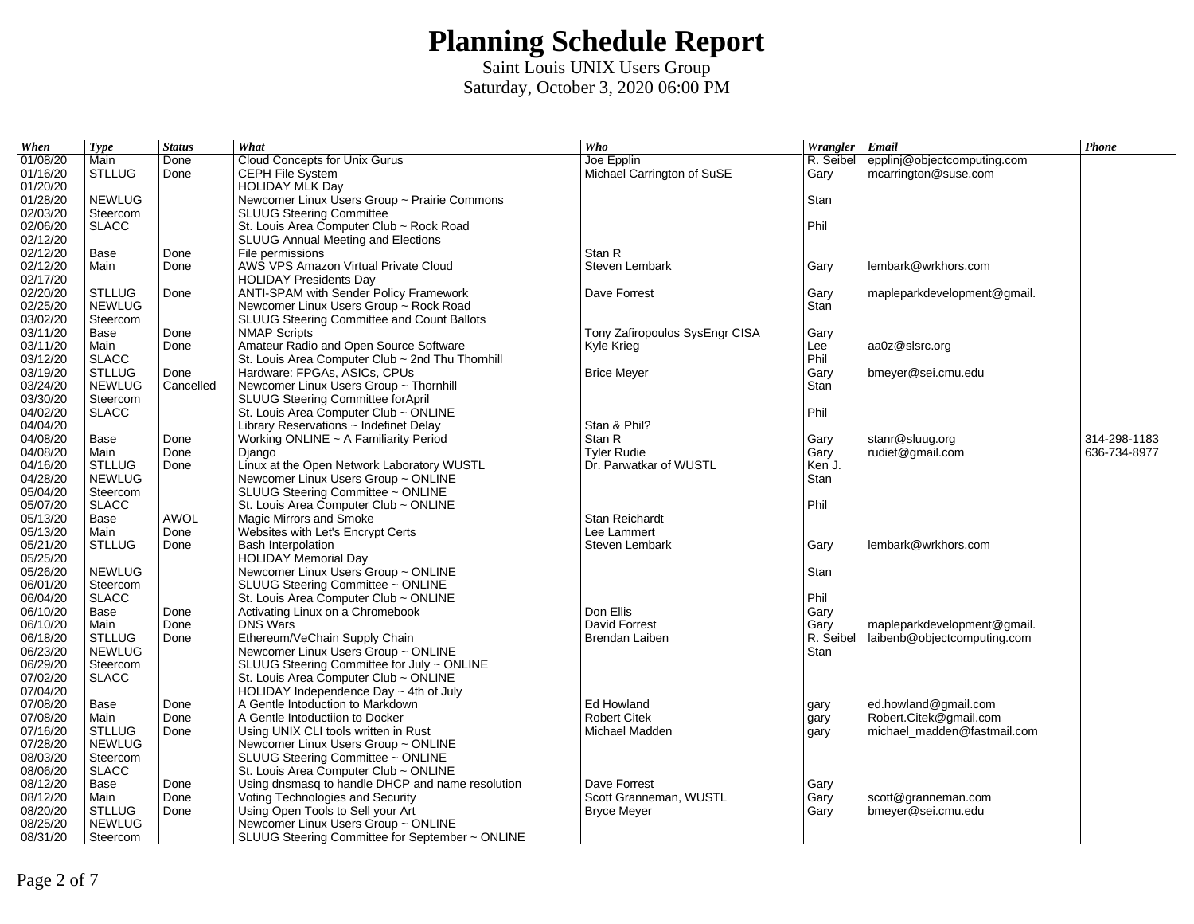| When     | <b>Type</b>   | <b>Status</b> | What                                             | Who                            | Wrangler Email |                             | $\boldsymbol{Phone}$ |
|----------|---------------|---------------|--------------------------------------------------|--------------------------------|----------------|-----------------------------|----------------------|
| 01/08/20 | Main          | Done          | Cloud Concepts for Unix Gurus                    | Joe Epplin                     | R. Seibel      | epplinj@objectcomputing.com |                      |
| 01/16/20 | <b>STLLUG</b> | Done          | CEPH File System                                 | Michael Carrington of SuSE     | Gary           | mcarrington@suse.com        |                      |
| 01/20/20 |               |               | <b>HOLIDAY MLK Day</b>                           |                                |                |                             |                      |
| 01/28/20 | <b>NEWLUG</b> |               | Newcomer Linux Users Group ~ Prairie Commons     |                                | Stan           |                             |                      |
| 02/03/20 | Steercom      |               | <b>SLUUG Steering Committee</b>                  |                                |                |                             |                      |
| 02/06/20 | <b>SLACC</b>  |               | St. Louis Area Computer Club ~ Rock Road         |                                | Phil           |                             |                      |
| 02/12/20 |               |               | <b>SLUUG Annual Meeting and Elections</b>        |                                |                |                             |                      |
| 02/12/20 | Base          | Done          | File permissions                                 | Stan R                         |                |                             |                      |
| 02/12/20 | Main          | Done          | AWS VPS Amazon Virtual Private Cloud             | <b>Steven Lembark</b>          | Gary           | lembark@wrkhors.com         |                      |
| 02/17/20 |               |               | <b>HOLIDAY Presidents Day</b>                    |                                |                |                             |                      |
| 02/20/20 | <b>STLLUG</b> | Done          | ANTI-SPAM with Sender Policy Framework           | Dave Forrest                   | Gary           | mapleparkdevelopment@gmail. |                      |
| 02/25/20 | <b>NEWLUG</b> |               | Newcomer Linux Users Group ~ Rock Road           |                                | Stan           |                             |                      |
| 03/02/20 | Steercom      |               | SLUUG Steering Committee and Count Ballots       |                                |                |                             |                      |
| 03/11/20 | Base          | Done          | <b>NMAP Scripts</b>                              | Tony Zafiropoulos SysEngr CISA | Gary           |                             |                      |
| 03/11/20 | Main          | Done          | Amateur Radio and Open Source Software           | Kyle Krieg                     | Lee            | aa0z@slsrc.org              |                      |
| 03/12/20 | <b>SLACC</b>  |               | St. Louis Area Computer Club ~ 2nd Thu Thornhill |                                | Phil           |                             |                      |
|          | <b>STLLUG</b> |               |                                                  |                                |                |                             |                      |
| 03/19/20 |               | Done          | Hardware: FPGAs, ASICs, CPUs                     | <b>Brice Meyer</b>             | Gary           | bmeyer@sei.cmu.edu          |                      |
| 03/24/20 | <b>NEWLUG</b> | Cancelled     | Newcomer Linux Users Group ~ Thornhill           |                                | Stan           |                             |                      |
| 03/30/20 | Steercom      |               | SLUUG Steering Committee for April               |                                |                |                             |                      |
| 04/02/20 | <b>SLACC</b>  |               | St. Louis Area Computer Club ~ ONLINE            |                                | Phil           |                             |                      |
| 04/04/20 |               |               | Library Reservations $\sim$ Indefinet Delay      | Stan & Phil?                   |                |                             |                      |
| 04/08/20 | Base          | Done          | Working ONLINE ~ A Familiarity Period            | Stan R                         | Gary           | stanr@sluug.org             | 314-298-1183         |
| 04/08/20 | Main          | Done          | Diango                                           | <b>Tyler Rudie</b>             | Gary           | rudiet@gmail.com            | 636-734-8977         |
| 04/16/20 | <b>STLLUG</b> | Done          | Linux at the Open Network Laboratory WUSTL       | Dr. Parwatkar of WUSTL         | Ken J.         |                             |                      |
| 04/28/20 | <b>NEWLUG</b> |               | Newcomer Linux Users Group ~ ONLINE              |                                | Stan           |                             |                      |
| 05/04/20 | Steercom      |               | SLUUG Steering Committee ~ ONLINE                |                                |                |                             |                      |
| 05/07/20 | <b>SLACC</b>  |               | St. Louis Area Computer Club ~ ONLINE            |                                | Phil           |                             |                      |
| 05/13/20 | Base          | <b>AWOL</b>   | Magic Mirrors and Smoke                          | Stan Reichardt                 |                |                             |                      |
| 05/13/20 | Main          | Done          | Websites with Let's Encrypt Certs                | Lee Lammert                    |                |                             |                      |
| 05/21/20 | <b>STLLUG</b> | Done          | <b>Bash Interpolation</b>                        | Steven Lembark                 | Gary           | lembark@wrkhors.com         |                      |
| 05/25/20 |               |               | <b>HOLIDAY Memorial Day</b>                      |                                |                |                             |                      |
| 05/26/20 | <b>NEWLUG</b> |               | Newcomer Linux Users Group ~ ONLINE              |                                | Stan           |                             |                      |
| 06/01/20 | Steercom      |               | SLUUG Steering Committee ~ ONLINE                |                                |                |                             |                      |
| 06/04/20 | <b>SLACC</b>  |               | St. Louis Area Computer Club ~ ONLINE            |                                | Phil           |                             |                      |
| 06/10/20 | Base          | Done          | Activating Linux on a Chromebook                 | Don Ellis                      | Gary           |                             |                      |
| 06/10/20 | Main          | Done          | <b>DNS Wars</b>                                  | David Forrest                  | Gary           | mapleparkdevelopment@gmail. |                      |
| 06/18/20 | <b>STLLUG</b> | Done          | Ethereum/VeChain Supply Chain                    | Brendan Laiben                 | R. Seibel      | laibenb@objectcomputing.com |                      |
| 06/23/20 | <b>NEWLUG</b> |               | Newcomer Linux Users Group ~ ONLINE              |                                | Stan           |                             |                      |
| 06/29/20 | Steercom      |               | SLUUG Steering Committee for July ~ ONLINE       |                                |                |                             |                      |
| 07/02/20 | <b>SLACC</b>  |               | St. Louis Area Computer Club ~ ONLINE            |                                |                |                             |                      |
| 07/04/20 |               |               | HOLIDAY Independence Day $\sim$ 4th of July      |                                |                |                             |                      |
| 07/08/20 | Base          | Done          | A Gentle Intoduction to Markdown                 | Ed Howland                     | gary           | ed.howland@gmail.com        |                      |
| 07/08/20 | Main          | Done          | A Gentle Intoductiion to Docker                  | <b>Robert Citek</b>            | gary           | Robert.Citek@gmail.com      |                      |
| 07/16/20 | <b>STLLUG</b> | Done          | Using UNIX CLI tools written in Rust             | Michael Madden                 | gary           | michael madden@fastmail.com |                      |
| 07/28/20 | <b>NEWLUG</b> |               | Newcomer Linux Users Group ~ ONLINE              |                                |                |                             |                      |
| 08/03/20 | Steercom      |               | SLUUG Steering Committee ~ ONLINE                |                                |                |                             |                      |
| 08/06/20 | <b>SLACC</b>  |               | St. Louis Area Computer Club ~ ONLINE            |                                |                |                             |                      |
| 08/12/20 | Base          | Done          | Using dnsmasq to handle DHCP and name resolution | Dave Forrest                   | Gary           |                             |                      |
| 08/12/20 | Main          | Done          | Voting Technologies and Security                 | Scott Granneman, WUSTL         | Gary           | scott@granneman.com         |                      |
| 08/20/20 | <b>STLLUG</b> | Done          | Using Open Tools to Sell your Art                | <b>Bryce Meyer</b>             | Gary           | bmeyer@sei.cmu.edu          |                      |
| 08/25/20 | <b>NEWLUG</b> |               | Newcomer Linux Users Group ~ ONLINE              |                                |                |                             |                      |
| 08/31/20 | Steercom      |               | SLUUG Steering Committee for September ~ ONLINE  |                                |                |                             |                      |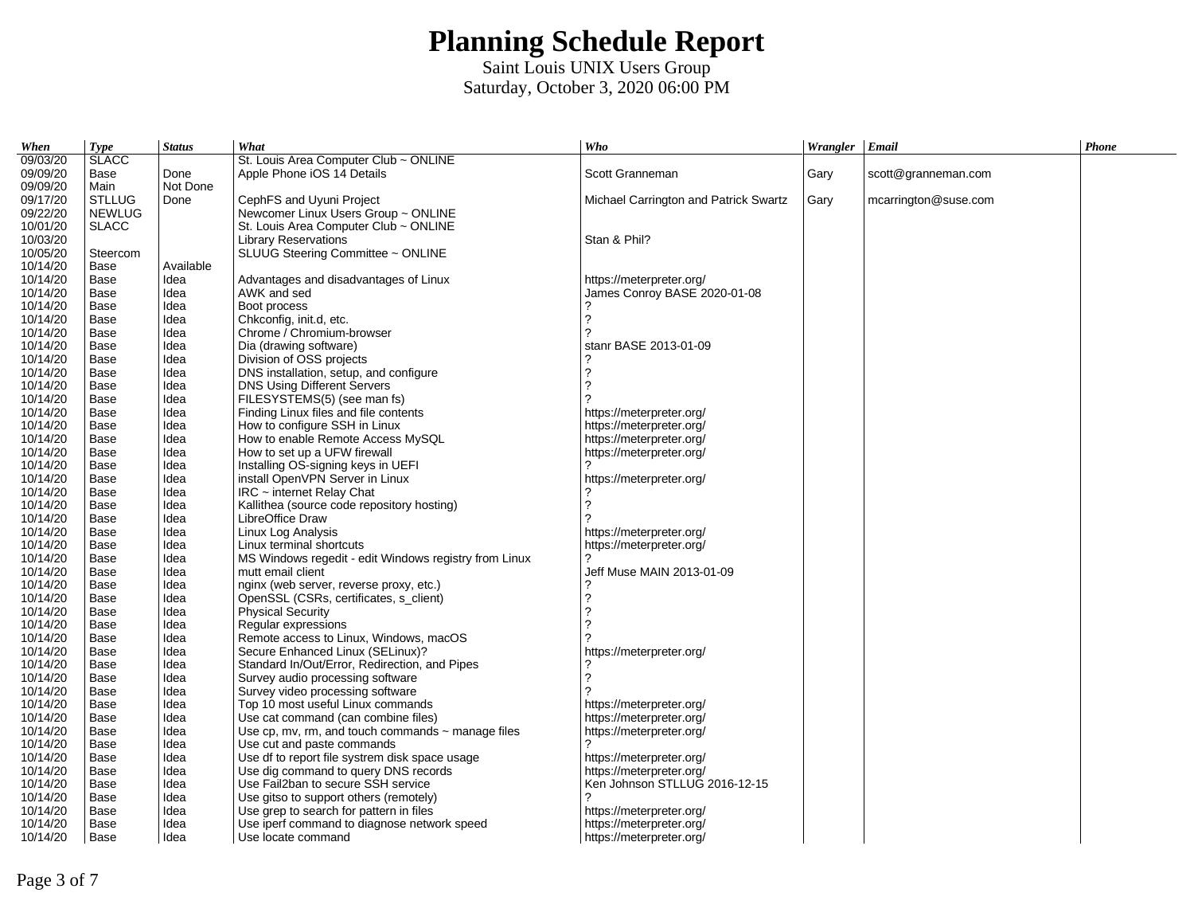| When                 | <b>Type</b>   | <b>Status</b> | What                                                                              | Who                                   | Wrangler Email |                      | Phone |
|----------------------|---------------|---------------|-----------------------------------------------------------------------------------|---------------------------------------|----------------|----------------------|-------|
| 09/03/20             | <b>SLACC</b>  |               | St. Louis Area Computer Club ~ ONLINE                                             |                                       |                |                      |       |
| 09/09/20             | Base          | Done          | Apple Phone iOS 14 Details                                                        | Scott Granneman                       | Gary           | scott@granneman.com  |       |
| 09/09/20             | Main          | Not Done      |                                                                                   |                                       |                |                      |       |
| 09/17/20             | <b>STLLUG</b> | Done          | CephFS and Uyuni Project                                                          | Michael Carrington and Patrick Swartz | Gary           | mcarrington@suse.com |       |
| 09/22/20             | <b>NEWLUG</b> |               | Newcomer Linux Users Group ~ ONLINE                                               |                                       |                |                      |       |
| 10/01/20             | <b>SLACC</b>  |               | St. Louis Area Computer Club ~ ONLINE                                             |                                       |                |                      |       |
| 10/03/20             |               |               | <b>Library Reservations</b>                                                       | Stan & Phil?                          |                |                      |       |
| 10/05/20             | Steercom      |               | SLUUG Steering Committee ~ ONLINE                                                 |                                       |                |                      |       |
| 10/14/20             | Base          | Available     |                                                                                   |                                       |                |                      |       |
| 10/14/20             | Base          | Idea          | Advantages and disadvantages of Linux                                             | https://meterpreter.org/              |                |                      |       |
| 10/14/20             | Base          | Idea          | AWK and sed                                                                       | James Conroy BASE 2020-01-08          |                |                      |       |
| 10/14/20             | Base          | Idea          | Boot process                                                                      |                                       |                |                      |       |
| 10/14/20             | Base          | Idea          | Chkconfig, init.d, etc.                                                           |                                       |                |                      |       |
| 10/14/20             | Base          | Idea          | Chrome / Chromium-browser                                                         |                                       |                |                      |       |
| 10/14/20             | Base          | Idea          | Dia (drawing software)                                                            | stanr BASE 2013-01-09                 |                |                      |       |
| 10/14/20             | Base          | Idea          | Division of OSS projects                                                          |                                       |                |                      |       |
| 10/14/20             | Base          | Idea          | DNS installation, setup, and configure                                            |                                       |                |                      |       |
| 10/14/20             | Base          | Idea          | <b>DNS Using Different Servers</b>                                                |                                       |                |                      |       |
| 10/14/20             | Base          | Idea          | FILESYSTEMS(5) (see man fs)                                                       |                                       |                |                      |       |
| 10/14/20             | Base          | Idea          | Finding Linux files and file contents                                             | https://meterpreter.org/              |                |                      |       |
| 10/14/20             | Base          | Idea          | How to configure SSH in Linux                                                     | https://meterpreter.org/              |                |                      |       |
| 10/14/20             | Base          | Idea          | How to enable Remote Access MySQL                                                 | https://meterpreter.org/              |                |                      |       |
| 10/14/20             | Base          | Idea          | How to set up a UFW firewall                                                      | https://meterpreter.org/              |                |                      |       |
| 10/14/20             | Base          | Idea          | Installing OS-signing keys in UEFI                                                |                                       |                |                      |       |
| 10/14/20             | Base          | Idea          | install OpenVPN Server in Linux                                                   | https://meterpreter.org/              |                |                      |       |
| 10/14/20             | Base          | Idea          | $IRC$ ~ internet Relay Chat                                                       |                                       |                |                      |       |
| 10/14/20             | Base          | Idea          | Kallithea (source code repository hosting)                                        |                                       |                |                      |       |
| 10/14/20             | Base          | Idea          | LibreOffice Draw                                                                  |                                       |                |                      |       |
| 10/14/20             | Base          | Idea          | Linux Log Analysis                                                                | https://meterpreter.org/              |                |                      |       |
| 10/14/20             | Base          | Idea          | Linux terminal shortcuts                                                          | https://meterpreter.org/              |                |                      |       |
| 10/14/20             | Base          | Idea          | MS Windows regedit - edit Windows registry from Linux                             | っ                                     |                |                      |       |
| 10/14/20             | Base          | Idea          | mutt email client                                                                 | Jeff Muse MAIN 2013-01-09             |                |                      |       |
| 10/14/20             | Base          | Idea          | nginx (web server, reverse proxy, etc.)                                           |                                       |                |                      |       |
| 10/14/20             | Base          | Idea          | OpenSSL (CSRs, certificates, s client)                                            |                                       |                |                      |       |
| 10/14/20             | Base          | Idea          | <b>Physical Security</b>                                                          |                                       |                |                      |       |
| 10/14/20             | Base          | Idea          | Regular expressions                                                               |                                       |                |                      |       |
| 10/14/20             | Base          | Idea          | Remote access to Linux, Windows, macOS                                            |                                       |                |                      |       |
| 10/14/20             | Base          | Idea          | Secure Enhanced Linux (SELinux)?                                                  | https://meterpreter.org/              |                |                      |       |
| 10/14/20             | Base          | Idea          | Standard In/Out/Error, Redirection, and Pipes                                     |                                       |                |                      |       |
| 10/14/20<br>10/14/20 | Base<br>Base  | Idea<br>Idea  | Survey audio processing software<br>Survey video processing software              |                                       |                |                      |       |
|                      |               |               |                                                                                   |                                       |                |                      |       |
| 10/14/20<br>10/14/20 | Base          | Idea          | Top 10 most useful Linux commands                                                 | https://meterpreter.org/              |                |                      |       |
|                      | Base          | Idea          | Use cat command (can combine files)                                               | https://meterpreter.org/              |                |                      |       |
| 10/14/20             | Base          | Idea          | Use $cp$ , mv, rm, and touch commands $\sim$ manage files                         | https://meterpreter.org/              |                |                      |       |
| 10/14/20             | Base          | Idea          | Use cut and paste commands                                                        |                                       |                |                      |       |
| 10/14/20             | Base          | Idea          | Use df to report file systrem disk space usage                                    | https://meterpreter.org/              |                |                      |       |
| 10/14/20             | Base          | Idea          | Use dig command to query DNS records                                              | https://meterpreter.org/              |                |                      |       |
| 10/14/20<br>10/14/20 | Base<br>Base  | Idea<br>Idea  | Use Fail2ban to secure SSH service                                                | Ken Johnson STLLUG 2016-12-15         |                |                      |       |
| 10/14/20             | Base          | Idea          | Use gitso to support others (remotely)<br>Use grep to search for pattern in files | https://meterpreter.org/              |                |                      |       |
| 10/14/20             | Base          | Idea          | Use iperf command to diagnose network speed                                       | https://meterpreter.org/              |                |                      |       |
| 10/14/20             | Base          | Idea          | Use locate command                                                                | https://meterpreter.org/              |                |                      |       |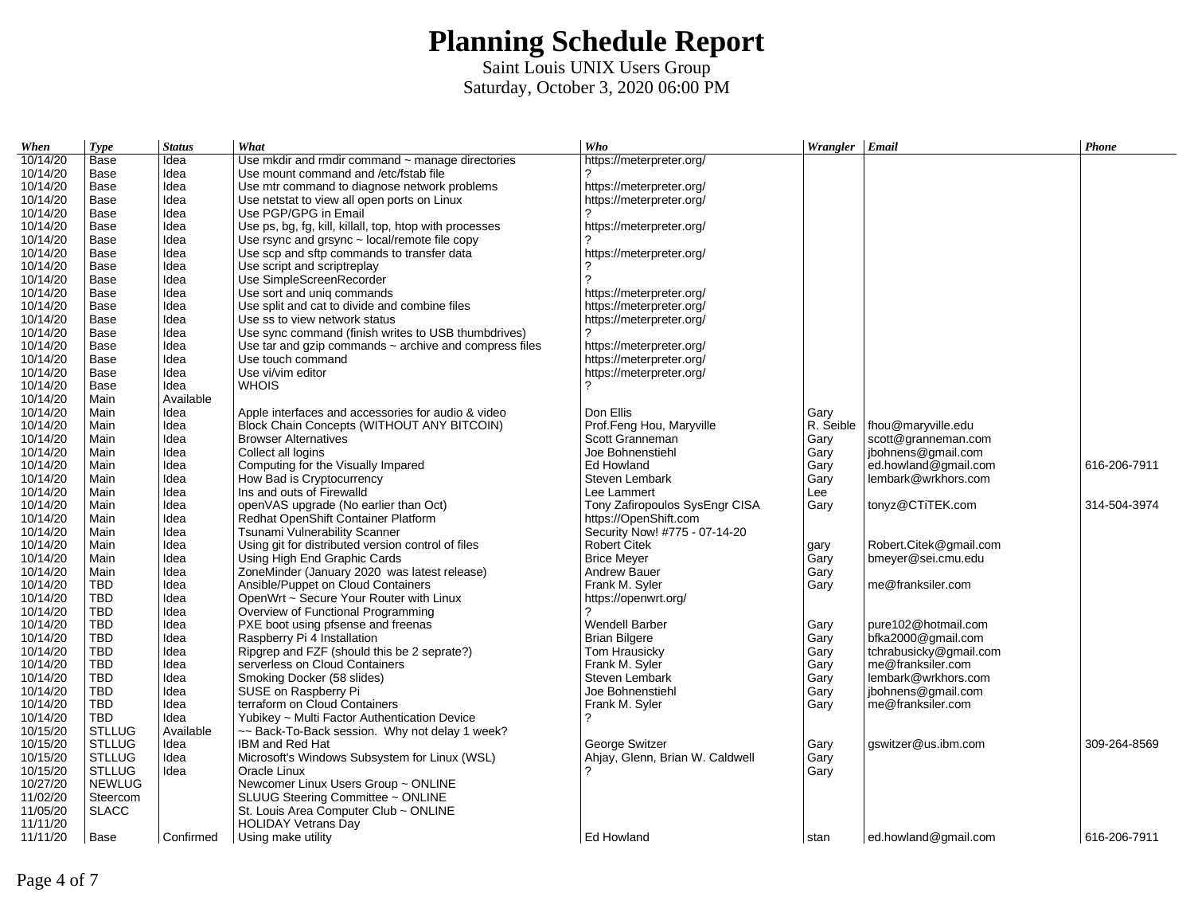| When     | <b>Type</b>   | <b>Status</b> | What                                                        | Who                             | Wrangler Email |                        | Phone        |
|----------|---------------|---------------|-------------------------------------------------------------|---------------------------------|----------------|------------------------|--------------|
| 10/14/20 | Base          | Idea          | Use mkdir and rmdir command $\sim$ manage directories       | https://meterpreter.org/        |                |                        |              |
| 10/14/20 | Base          | Idea          | Use mount command and /etc/fstab file                       |                                 |                |                        |              |
| 10/14/20 | Base          | Idea          | Use mtr command to diagnose network problems                | https://meterpreter.org/        |                |                        |              |
| 10/14/20 | Base          | Idea          | Use netstat to view all open ports on Linux                 | https://meterpreter.org/        |                |                        |              |
| 10/14/20 | Base          | Idea          | Use PGP/GPG in Email                                        |                                 |                |                        |              |
| 10/14/20 | Base          | Idea          | Use ps, bg, fg, kill, killall, top, htop with processes     | https://meterpreter.org/        |                |                        |              |
| 10/14/20 | Base          | Idea          | Use rsync and grsync $\sim$ local/remote file copy          |                                 |                |                        |              |
| 10/14/20 | Base          | Idea          | Use scp and sftp commands to transfer data                  | https://meterpreter.org/        |                |                        |              |
| 10/14/20 | Base          | Idea          | Use script and scriptreplay                                 |                                 |                |                        |              |
| 10/14/20 | Base          | Idea          | Use SimpleScreenRecorder                                    |                                 |                |                        |              |
| 10/14/20 | Base          | Idea          | Use sort and uniq commands                                  | https://meterpreter.org/        |                |                        |              |
| 10/14/20 | Base          | Idea          | Use split and cat to divide and combine files               | https://meterpreter.org/        |                |                        |              |
| 10/14/20 | Base          | Idea          | Use ss to view network status                               | https://meterpreter.org/        |                |                        |              |
| 10/14/20 | Base          | Idea          | Use sync command (finish writes to USB thumbdrives)         |                                 |                |                        |              |
| 10/14/20 | Base          | Idea          | Use tar and gzip commands $\sim$ archive and compress files | https://meterpreter.org/        |                |                        |              |
| 10/14/20 | Base          | Idea          | Use touch command                                           | https://meterpreter.org/        |                |                        |              |
| 10/14/20 | Base          | Idea          | Use vi/vim editor                                           | https://meterpreter.org/        |                |                        |              |
| 10/14/20 | Base          | Idea          | <b>WHOIS</b>                                                | 2                               |                |                        |              |
| 10/14/20 | Main          | Available     |                                                             |                                 |                |                        |              |
| 10/14/20 | Main          | Idea          | Apple interfaces and accessories for audio & video          | Don Ellis                       | Gary           |                        |              |
| 10/14/20 | Main          | Idea          | <b>Block Chain Concepts (WITHOUT ANY BITCOIN)</b>           | Prof.Feng Hou, Maryville        | R. Seible      | fhou@maryville.edu     |              |
| 10/14/20 | Main          | Idea          | <b>Browser Alternatives</b>                                 | Scott Granneman                 |                |                        |              |
|          |               |               |                                                             |                                 | Gary           | scott@granneman.com    |              |
| 10/14/20 | Main          | Idea          | Collect all logins                                          | Joe Bohnenstiehl                | Gary           | jbohnens@gmail.com     |              |
| 10/14/20 | Main          | Idea          | Computing for the Visually Impared                          | Ed Howland                      | Gary           | ed.howland@gmail.com   | 616-206-7911 |
| 10/14/20 | Main          | Idea          | How Bad is Cryptocurrency                                   | Steven Lembark                  | Gary           | lembark@wrkhors.com    |              |
| 10/14/20 | Main          | Idea          | Ins and outs of Firewalld                                   | Lee Lammert                     | Lee            |                        |              |
| 10/14/20 | Main          | Idea          | openVAS upgrade (No earlier than Oct)                       | Tony Zafiropoulos SysEngr CISA  | Gary           | tonyz@CTiTEK.com       | 314-504-3974 |
| 10/14/20 | Main          | Idea          | Redhat OpenShift Container Platform                         | https://OpenShift.com           |                |                        |              |
| 10/14/20 | Main          | Idea          | Tsunami Vulnerability Scanner                               | Security Now! #775 - 07-14-20   |                |                        |              |
| 10/14/20 | Main          | Idea          | Using git for distributed version control of files          | Robert Citek                    | gary           | Robert.Citek@gmail.com |              |
| 10/14/20 | Main          | Idea          | Using High End Graphic Cards                                | <b>Brice Meyer</b>              | Gary           | bmeyer@sei.cmu.edu     |              |
| 10/14/20 | Main          | Idea          | ZoneMinder (January 2020 was latest release)                | <b>Andrew Bauer</b>             | Gary           |                        |              |
| 10/14/20 | TBD           | Idea          | Ansible/Puppet on Cloud Containers                          | Frank M. Syler                  | Gary           | me@franksiler.com      |              |
| 10/14/20 | <b>TBD</b>    | Idea          | OpenWrt ~ Secure Your Router with Linux                     | https://openwrt.org/            |                |                        |              |
| 10/14/20 | TBD           | Idea          | Overview of Functional Programming                          | 2                               |                |                        |              |
| 10/14/20 | TBD           | Idea          | PXE boot using pfsense and freenas                          | Wendell Barber                  | Gary           | pure102@hotmail.com    |              |
| 10/14/20 | <b>TBD</b>    | Idea          | Raspberry Pi 4 Installation                                 | <b>Brian Bilgere</b>            | Gary           | bfka2000@gmail.com     |              |
| 10/14/20 | <b>TBD</b>    | Idea          | Ripgrep and FZF (should this be 2 seprate?)                 | Tom Hrausicky                   | Gary           | tchrabusicky@gmail.com |              |
| 10/14/20 | <b>TBD</b>    | Idea          | serverless on Cloud Containers                              | Frank M. Syler                  | Gary           | me@franksiler.com      |              |
| 10/14/20 | TBD           | Idea          | Smoking Docker (58 slides)                                  | Steven Lembark                  | Gary           | lembark@wrkhors.com    |              |
| 10/14/20 | TBD           | Idea          | SUSE on Raspberry Pi                                        | Joe Bohnenstiehl                | Gary           | jbohnens@gmail.com     |              |
| 10/14/20 | <b>TBD</b>    | Idea          | terraform on Cloud Containers                               | Frank M. Syler                  | Gary           | me@franksiler.com      |              |
| 10/14/20 | TBD           | Idea          | Yubikey ~ Multi Factor Authentication Device                | 2                               |                |                        |              |
| 10/15/20 | <b>STLLUG</b> | Available     | ~~ Back-To-Back session. Why not delay 1 week?              |                                 |                |                        |              |
| 10/15/20 | <b>STLLUG</b> | Idea          | IBM and Red Hat                                             | George Switzer                  | Gary           | gswitzer@us.ibm.com    | 309-264-8569 |
| 10/15/20 | <b>STLLUG</b> | Idea          | Microsoft's Windows Subsystem for Linux (WSL)               | Ahjay, Glenn, Brian W. Caldwell | Gary           |                        |              |
| 10/15/20 | <b>STLLUG</b> | Idea          | Oracle Linux                                                |                                 | Gary           |                        |              |
| 10/27/20 | <b>NEWLUG</b> |               | Newcomer Linux Users Group ~ ONLINE                         |                                 |                |                        |              |
| 11/02/20 | Steercom      |               | SLUUG Steering Committee ~ ONLINE                           |                                 |                |                        |              |
| 11/05/20 | <b>SLACC</b>  |               | St. Louis Area Computer Club ~ ONLINE                       |                                 |                |                        |              |
| 11/11/20 |               |               | <b>HOLIDAY Vetrans Day</b>                                  |                                 |                |                        |              |
| 11/11/20 | Base          | Confirmed     | Using make utility                                          | Ed Howland                      | stan           | ed.howland@gmail.com   | 616-206-7911 |
|          |               |               |                                                             |                                 |                |                        |              |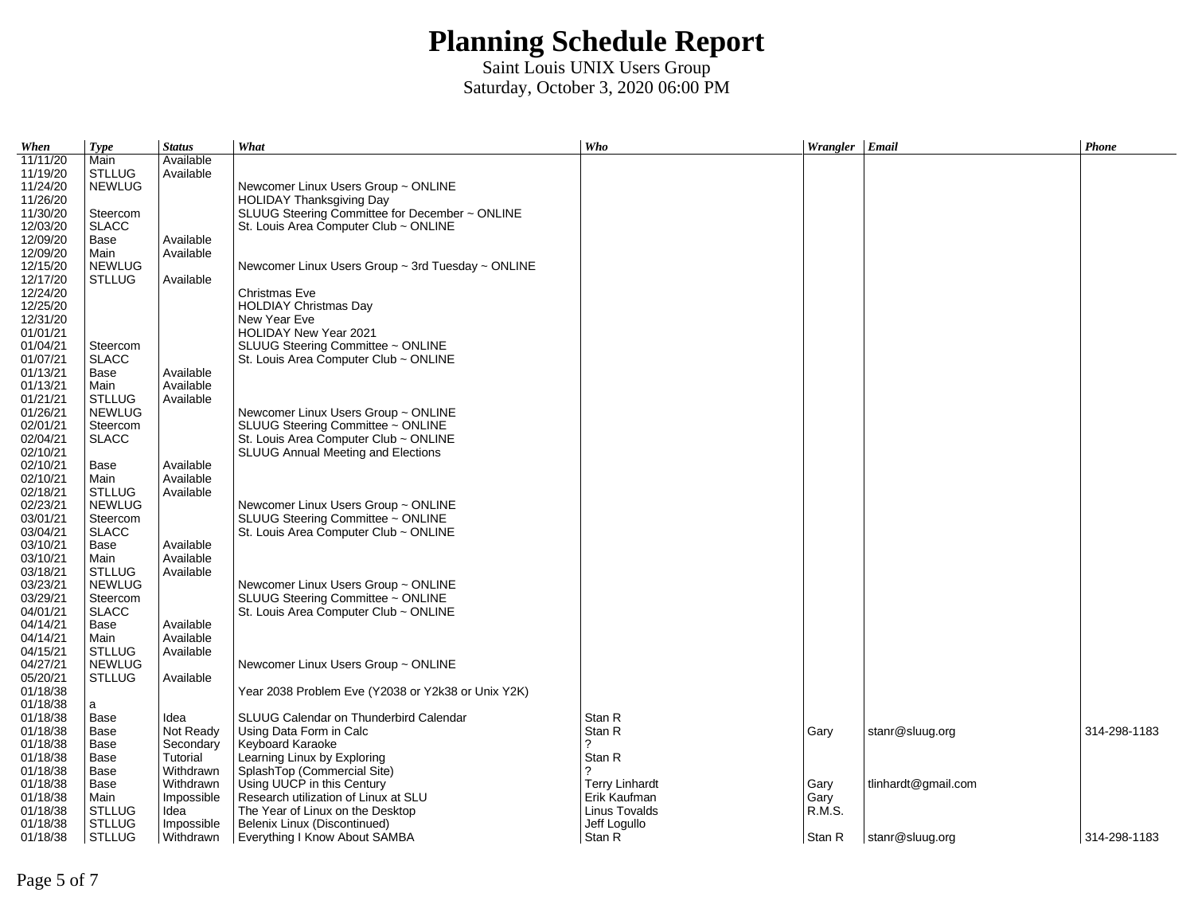| When                 | <b>Type</b>   | <b>Status</b> | What                                                                     | Who                   | Wrangler Email |                     | Phone        |
|----------------------|---------------|---------------|--------------------------------------------------------------------------|-----------------------|----------------|---------------------|--------------|
| 11/11/20             | Main          | Available     |                                                                          |                       |                |                     |              |
| 11/19/20             | <b>STLLUG</b> | Available     |                                                                          |                       |                |                     |              |
| 11/24/20             | <b>NEWLUG</b> |               | Newcomer Linux Users Group ~ ONLINE                                      |                       |                |                     |              |
| 11/26/20             |               |               | <b>HOLIDAY Thanksgiving Day</b>                                          |                       |                |                     |              |
| 11/30/20             | Steercom      |               | SLUUG Steering Committee for December ~ ONLINE                           |                       |                |                     |              |
| 12/03/20             | <b>SLACC</b>  |               | St. Louis Area Computer Club ~ ONLINE                                    |                       |                |                     |              |
| 12/09/20             | Base          | Available     |                                                                          |                       |                |                     |              |
| 12/09/20             | Main          | Available     |                                                                          |                       |                |                     |              |
| 12/15/20             | <b>NEWLUG</b> |               | Newcomer Linux Users Group $\sim$ 3rd Tuesday $\sim$ ONLINE              |                       |                |                     |              |
| 12/17/20             | <b>STLLUG</b> | Available     |                                                                          |                       |                |                     |              |
| 12/24/20             |               |               | Christmas Eve                                                            |                       |                |                     |              |
| 12/25/20             |               |               | <b>HOLDIAY Christmas Day</b>                                             |                       |                |                     |              |
| 12/31/20             |               |               | New Year Eve                                                             |                       |                |                     |              |
| 01/01/21             |               |               | <b>HOLIDAY New Year 2021</b>                                             |                       |                |                     |              |
| 01/04/21             | Steercom      |               | SLUUG Steering Committee ~ ONLINE                                        |                       |                |                     |              |
| 01/07/21             | <b>SLACC</b>  |               | St. Louis Area Computer Club $\sim$ ONLINE                               |                       |                |                     |              |
| 01/13/21             | Base          | Available     |                                                                          |                       |                |                     |              |
| 01/13/21             | Main          | Available     |                                                                          |                       |                |                     |              |
| 01/21/21             | <b>STLLUG</b> | Available     |                                                                          |                       |                |                     |              |
| 01/26/21             | <b>NEWLUG</b> |               | Newcomer Linux Users Group ~ ONLINE                                      |                       |                |                     |              |
| 02/01/21             | Steercom      |               | SLUUG Steering Committee ~ ONLINE                                        |                       |                |                     |              |
| 02/04/21             | <b>SLACC</b>  |               | St. Louis Area Computer Club ~ ONLINE                                    |                       |                |                     |              |
| 02/10/21             |               |               | <b>SLUUG Annual Meeting and Elections</b>                                |                       |                |                     |              |
| 02/10/21             | Base          | Available     |                                                                          |                       |                |                     |              |
| 02/10/21             | Main          | Available     |                                                                          |                       |                |                     |              |
| 02/18/21             | <b>STLLUG</b> | Available     |                                                                          |                       |                |                     |              |
| 02/23/21             | <b>NEWLUG</b> |               | Newcomer Linux Users Group ~ ONLINE                                      |                       |                |                     |              |
| 03/01/21             | Steercom      |               | SLUUG Steering Committee ~ ONLINE                                        |                       |                |                     |              |
| 03/04/21             | <b>SLACC</b>  |               | St. Louis Area Computer Club $\sim$ ONLINE                               |                       |                |                     |              |
| 03/10/21             | Base          | Available     |                                                                          |                       |                |                     |              |
| 03/10/21             | Main          | Available     |                                                                          |                       |                |                     |              |
| 03/18/21             | <b>STLLUG</b> | Available     |                                                                          |                       |                |                     |              |
|                      | <b>NEWLUG</b> |               |                                                                          |                       |                |                     |              |
| 03/23/21<br>03/29/21 | Steercom      |               | Newcomer Linux Users Group ~ ONLINE<br>SLUUG Steering Committee ~ ONLINE |                       |                |                     |              |
| 04/01/21             | <b>SLACC</b>  |               | St. Louis Area Computer Club $\sim$ ONLINE                               |                       |                |                     |              |
| 04/14/21             |               | Available     |                                                                          |                       |                |                     |              |
| 04/14/21             | Base<br>Main  | Available     |                                                                          |                       |                |                     |              |
| 04/15/21             | <b>STLLUG</b> | Available     |                                                                          |                       |                |                     |              |
| 04/27/21             | <b>NEWLUG</b> |               | Newcomer Linux Users Group ~ ONLINE                                      |                       |                |                     |              |
|                      |               |               |                                                                          |                       |                |                     |              |
| 05/20/21             | <b>STLLUG</b> | Available     |                                                                          |                       |                |                     |              |
| 01/18/38<br>01/18/38 |               |               | Year 2038 Problem Eve (Y2038 or Y2k38 or Unix Y2K)                       |                       |                |                     |              |
|                      | a             |               |                                                                          |                       |                |                     |              |
| 01/18/38             | Base          | Idea          | SLUUG Calendar on Thunderbird Calendar                                   | Stan R                |                |                     |              |
| 01/18/38             | Base          | Not Ready     | Using Data Form in Calc                                                  | Stan R<br>2           | Gary           | stanr@sluug.org     | 314-298-1183 |
| 01/18/38             | Base          | Secondary     | Keyboard Karaoke                                                         |                       |                |                     |              |
| 01/18/38             | Base          | Tutorial      | Learning Linux by Exploring                                              | Stan R                |                |                     |              |
| 01/18/38             | Base          | Withdrawn     | SplashTop (Commercial Site)                                              | 2                     |                |                     |              |
| 01/18/38             | Base          | Withdrawn     | Using UUCP in this Century                                               | <b>Terry Linhardt</b> | Gary           | tlinhardt@gmail.com |              |
| 01/18/38             | Main          | Impossible    | Research utilization of Linux at SLU                                     | Erik Kaufman          | Gary           |                     |              |
| 01/18/38             | <b>STLLUG</b> | Idea          | The Year of Linux on the Desktop                                         | Linus Tovalds         | R.M.S.         |                     |              |
| 01/18/38             | <b>STLLUG</b> | Impossible    | Belenix Linux (Discontinued)                                             | Jeff Logullo          |                |                     |              |
| 01/18/38             | <b>STLLUG</b> | Withdrawn     | Everything I Know About SAMBA                                            | Stan R                | Stan R         | stanr@sluug.org     | 314-298-1183 |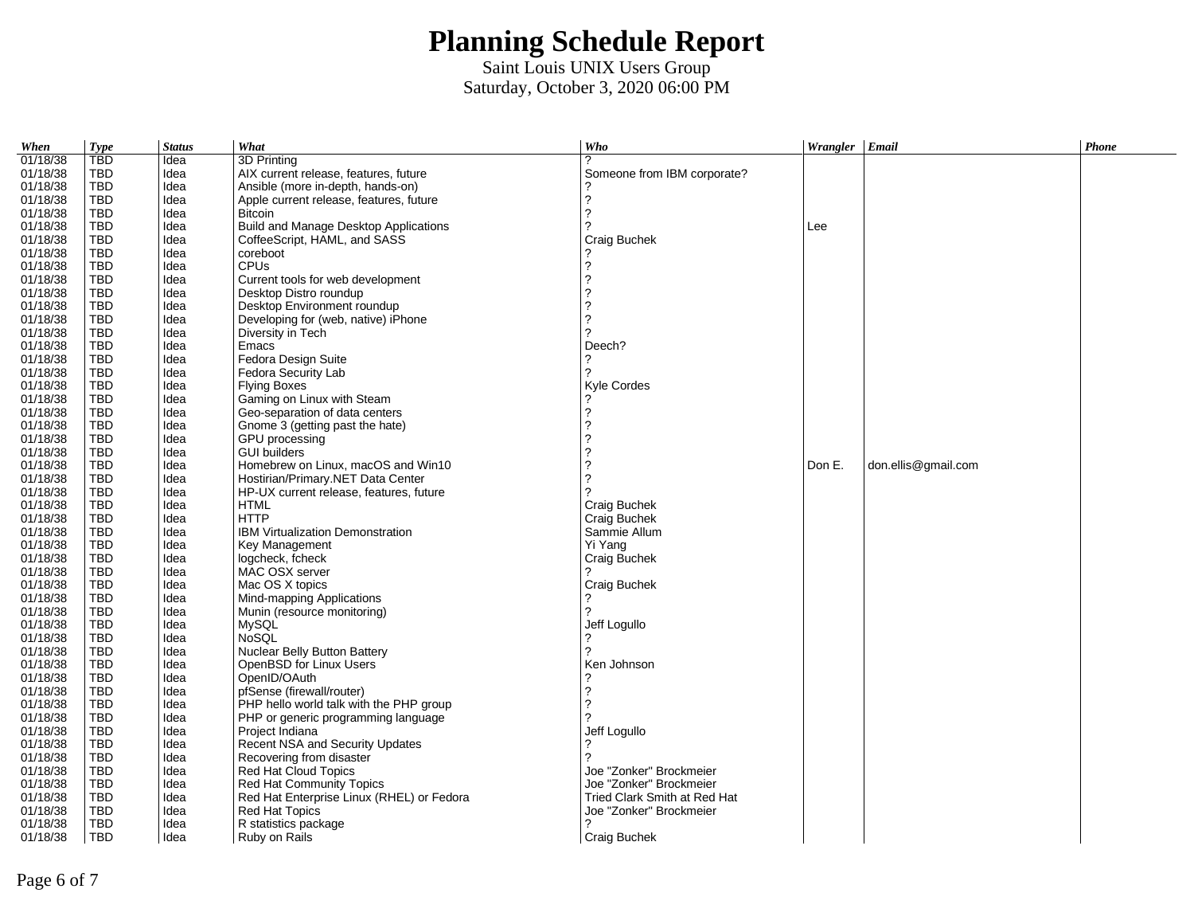| When                 | <b>Type</b>       | <b>Status</b> | What                                      | Who                          | Wrangler Email |                     | Phone |
|----------------------|-------------------|---------------|-------------------------------------------|------------------------------|----------------|---------------------|-------|
| 01/18/38             | TBD               | Idea          | 3D Printing                               | 2                            |                |                     |       |
| 01/18/38             | TBD               | Idea          | AIX current release, features, future     | Someone from IBM corporate?  |                |                     |       |
| 01/18/38             | TBD               | Idea          | Ansible (more in-depth, hands-on)         |                              |                |                     |       |
| 01/18/38             | TBD               | Idea          | Apple current release, features, future   | 2                            |                |                     |       |
| 01/18/38             | TBD               | Idea          | <b>Bitcoin</b>                            | 2                            |                |                     |       |
| 01/18/38             | TBD               | Idea          | Build and Manage Desktop Applications     |                              | Lee            |                     |       |
| 01/18/38             | TBD               | Idea          | CoffeeScript, HAML, and SASS              | Craig Buchek                 |                |                     |       |
| 01/18/38             | <b>TBD</b>        | Idea          | coreboot                                  |                              |                |                     |       |
| 01/18/38             | TBD               | Idea          | <b>CPUs</b>                               | ?                            |                |                     |       |
| 01/18/38             | TBD               | Idea          | Current tools for web development         | 2                            |                |                     |       |
| 01/18/38             | TBD               | Idea          | Desktop Distro roundup                    |                              |                |                     |       |
| 01/18/38             | TBD               | Idea          | Desktop Environment roundup               |                              |                |                     |       |
| 01/18/38             | TBD               | Idea          | Developing for (web, native) iPhone       | 2                            |                |                     |       |
| 01/18/38             | TBD               | Idea          | Diversity in Tech                         | 2                            |                |                     |       |
| 01/18/38             | TBD               | Idea          | Emacs                                     | Deech?                       |                |                     |       |
| 01/18/38             | TBD               | Idea          | Fedora Design Suite                       | 2                            |                |                     |       |
| 01/18/38             | TBD               | Idea          | Fedora Security Lab                       | 2                            |                |                     |       |
| 01/18/38             | TBD               | Idea          | <b>Flying Boxes</b>                       | Kyle Cordes                  |                |                     |       |
| 01/18/38             | TBD               | Idea          | Gaming on Linux with Steam                |                              |                |                     |       |
| 01/18/38             | TBD               | Idea          | Geo-separation of data centers            | 2                            |                |                     |       |
| 01/18/38             | TBD               | Idea          | Gnome 3 (getting past the hate)           | 2                            |                |                     |       |
| 01/18/38             | TBD               | Idea          | GPU processing                            | 2                            |                |                     |       |
| 01/18/38             | TBD               | Idea          | <b>GUI builders</b>                       |                              |                |                     |       |
| 01/18/38             | TBD               | Idea          | Homebrew on Linux, macOS and Win10        |                              | Don E.         | don.ellis@gmail.com |       |
| 01/18/38             | TBD               | Idea          | Hostirian/Primary.NET Data Center         | 2                            |                |                     |       |
| 01/18/38             | TBD               | Idea          | HP-UX current release, features, future   | っ                            |                |                     |       |
| 01/18/38             | TBD               | Idea          | <b>HTML</b>                               | Craig Buchek                 |                |                     |       |
| 01/18/38             | TBD               | Idea          | <b>HTTP</b>                               | Craig Buchek                 |                |                     |       |
| 01/18/38             | <b>TBD</b>        | Idea          | <b>IBM Virtualization Demonstration</b>   | Sammie Allum                 |                |                     |       |
| 01/18/38             | TBD               | Idea          | Key Management                            | Yi Yang                      |                |                     |       |
| 01/18/38             | TBD               | Idea          | logcheck, fcheck                          |                              |                |                     |       |
|                      | TBD               | Idea          | MAC OSX server                            | Craig Buchek                 |                |                     |       |
| 01/18/38<br>01/18/38 | TBD               |               |                                           |                              |                |                     |       |
|                      | <b>TBD</b>        | Idea          | Mac OS X topics                           | Craig Buchek                 |                |                     |       |
| 01/18/38             |                   | Idea          | Mind-mapping Applications                 |                              |                |                     |       |
| 01/18/38             | TBD               | Idea          | Munin (resource monitoring)               |                              |                |                     |       |
| 01/18/38             | TBD               | Idea          | MySQL                                     | Jeff Logullo                 |                |                     |       |
| 01/18/38             | TBD               | Idea          | NoSQL                                     | 2                            |                |                     |       |
| 01/18/38             | TBD<br><b>TBD</b> | Idea          | Nuclear Belly Button Battery              |                              |                |                     |       |
| 01/18/38             |                   | Idea          | OpenBSD for Linux Users                   | Ken Johnson                  |                |                     |       |
| 01/18/38             | TBD               | Idea          | OpenID/OAuth                              | 2                            |                |                     |       |
| 01/18/38             | TBD               | Idea          | pfSense (firewall/router)                 | 2                            |                |                     |       |
| 01/18/38             | TBD               | Idea          | PHP hello world talk with the PHP group   |                              |                |                     |       |
| 01/18/38             | TBD               | Idea          | PHP or generic programming language       |                              |                |                     |       |
| 01/18/38             | <b>TBD</b>        | Idea          | Project Indiana                           | Jeff Logullo                 |                |                     |       |
| 01/18/38             | TBD               | Idea          | Recent NSA and Security Updates           |                              |                |                     |       |
| 01/18/38             | <b>TBD</b>        | Idea          | Recovering from disaster                  |                              |                |                     |       |
| 01/18/38             | TBD               | Idea          | Red Hat Cloud Topics                      | Joe "Zonker" Brockmeier      |                |                     |       |
| 01/18/38             | TBD               | Idea          | Red Hat Community Topics                  | Joe "Zonker" Brockmeier      |                |                     |       |
| 01/18/38             | <b>TBD</b>        | Idea          | Red Hat Enterprise Linux (RHEL) or Fedora | Tried Clark Smith at Red Hat |                |                     |       |
| 01/18/38             | <b>TBD</b>        | Idea          | <b>Red Hat Topics</b>                     | Joe "Zonker" Brockmeier      |                |                     |       |
| 01/18/38             | <b>TBD</b>        | Idea          | R statistics package                      |                              |                |                     |       |
| 01/18/38             | <b>TBD</b>        | Idea          | Ruby on Rails                             | Craig Buchek                 |                |                     |       |